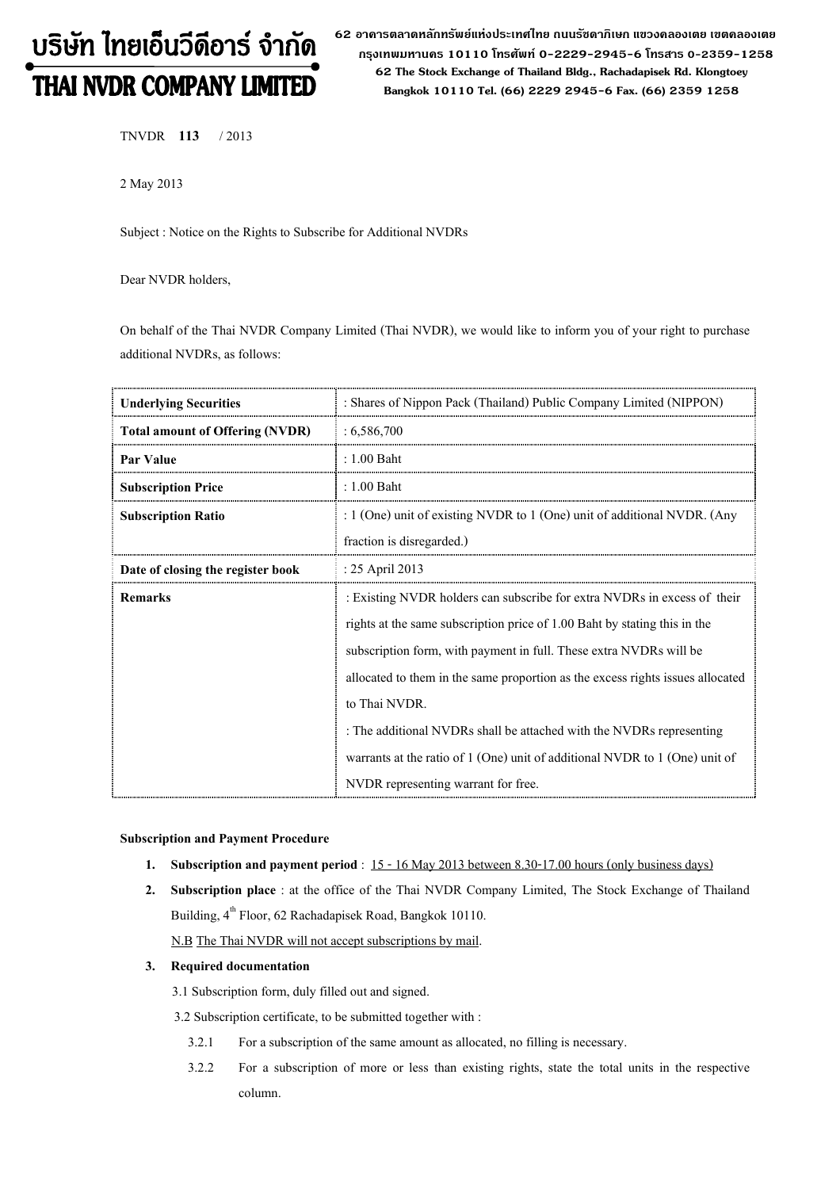# บริษัท ไทยเอ็นวีดีอาร์ จำกัด THAI NVDR COMPANY LIMITED

62 อาดารตลาดหลักทรัพย์แห่งประเทศไทย ถนนรัซดาภิเษก แขวงดลองเตย เขตดลองเตย กรุงเทพมหานดร 10110 โทรศัพท์ 0-2229-2945-6 โทรสาร 0-2359-1258 62 The Stock Exchange of Thailand Bldg., Rachadapisek Rd. Klongtoey Bangkok 10110 Tel. (66) 2229 2945-6 Fax. (66) 2359 1258

TNVDR 113 / 2013

2 May 2013

Subject : Notice on the Rights to Subscribe for Additional NVDRs

Dear NVDR holders,

On behalf of the Thai NVDR Company Limited (Thai NVDR), we would like to inform you of your right to purchase additional NVDRs, as follows:

| <b>Underlying Securities</b>           | : Shares of Nippon Pack (Thailand) Public Company Limited (NIPPON)             |  |  |
|----------------------------------------|--------------------------------------------------------------------------------|--|--|
| <b>Total amount of Offering (NVDR)</b> | : 6,586,700                                                                    |  |  |
| Par Value                              | : 1.00 Baht                                                                    |  |  |
| <b>Subscription Price</b>              | $: 1.00$ Baht                                                                  |  |  |
| <b>Subscription Ratio</b>              | : $1$ (One) unit of existing NVDR to $1$ (One) unit of additional NVDR. (Any   |  |  |
|                                        | fraction is disregarded.)                                                      |  |  |
| Date of closing the register book      | : 25 April 2013                                                                |  |  |
| Remarks                                | : Existing NVDR holders can subscribe for extra NVDRs in excess of their       |  |  |
|                                        | rights at the same subscription price of 1.00 Baht by stating this in the      |  |  |
|                                        | subscription form, with payment in full. These extra NVDRs will be             |  |  |
|                                        | allocated to them in the same proportion as the excess rights issues allocated |  |  |
|                                        | to Thai NVDR.                                                                  |  |  |
|                                        | : The additional NVDRs shall be attached with the NVDRs representing           |  |  |
|                                        | warrants at the ratio of 1 (One) unit of additional NVDR to 1 (One) unit of    |  |  |
|                                        | NVDR representing warrant for free.                                            |  |  |

#### Subscription and Payment Procedure

- 1. Subscription and payment period : 15 16 May 2013 between 8.30-17.00 hours (only business days)
- 2. Subscription place : at the office of the Thai NVDR Company Limited, The Stock Exchange of Thailand Building, 4<sup>th</sup> Floor, 62 Rachadapisek Road, Bangkok 10110.

N.B The Thai NVDR will not accept subscriptions by mail.

## 3. Required documentation

3.1 Subscription form, duly filled out and signed.

3.2 Subscription certificate, to be submitted together with :

- 3.2.1 For a subscription of the same amount as allocated, no filling is necessary.
- 3.2.2 For a subscription of more or less than existing rights, state the total units in the respective column.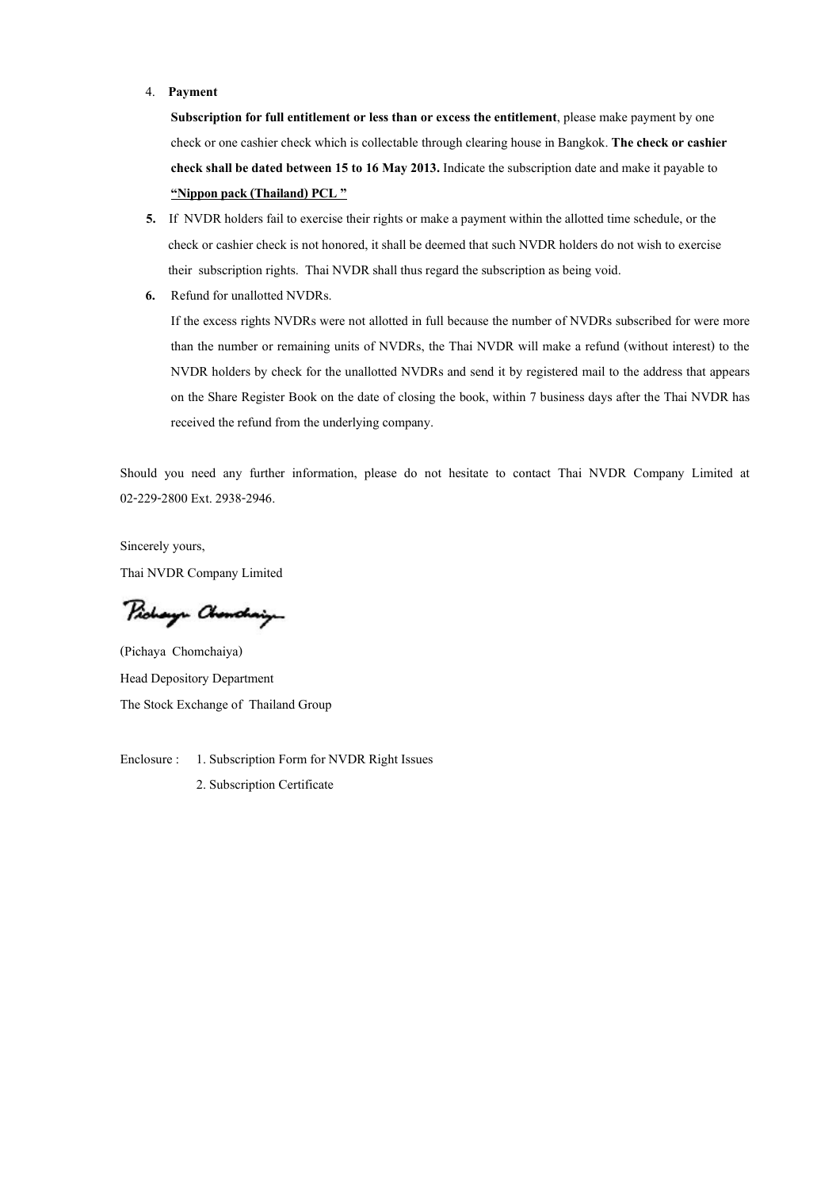#### 4. Payment

Subscription for full entitlement or less than or excess the entitlement, please make payment by one check or one cashier check which is collectable through clearing house in Bangkok. The check or cashier check shall be dated between 15 to 16 May 2013. Indicate the subscription date and make it payable to "Nippon pack (Thailand) PCL"

- 5. If NVDR holders fail to exercise their rights or make a payment within the allotted time schedule, or the check or cashier check is not honored, it shall be deemed that such NVDR holders do not wish to exercise their subscription rights. Thai NVDR shall thus regard the subscription as being void.
- 6. Refund for unallotted NVDRs.

If the excess rights NVDRs were not allotted in full because the number of NVDRs subscribed for were more than the number or remaining units of NVDRs, the Thai NVDR will make a refund (without interest) to the NVDR holders by check for the unallotted NVDRs and send it by registered mail to the address that appears on the Share Register Book on the date of closing the book, within 7 business days after the Thai NVDR has received the refund from the underlying company.

Should you need any further information, please do not hesitate to contact Thai NVDR Company Limited at 02-229-2800 Ext. 2938-2946.

Sincerely yours, Thai NVDR Company Limited

Pichaya Chanchaig

(Pichaya Chomchaiya) Head Depository Department The Stock Exchange of Thailand Group

Enclosure : 1. Subscription Form for NVDR Right Issues 2. Subscription Certificate